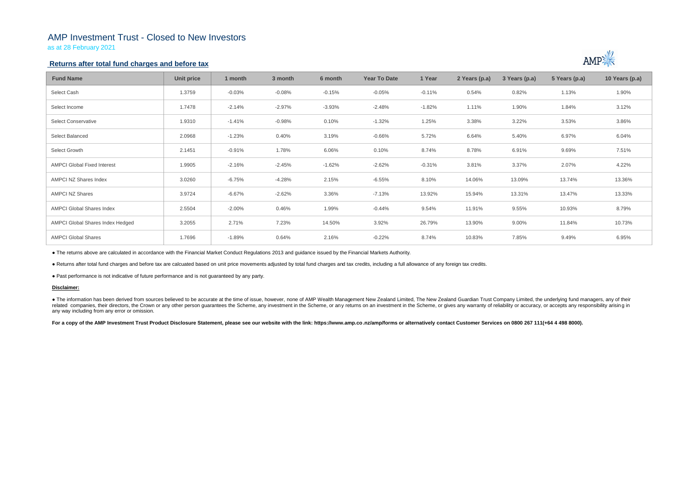# AMP Investment Trust - Closed to New Investors

as at 28 February 2021

## **Returns after total fund charges and before tax**

| <b>Fund Name</b>                   | Unit price | 1 month  | 3 month  | 6 month  | <b>Year To Date</b> | 1 Year   | 2 Years (p.a) | 3 Years (p.a) | 5 Years (p.a) | 10 Years (p.a) |
|------------------------------------|------------|----------|----------|----------|---------------------|----------|---------------|---------------|---------------|----------------|
| Select Cash                        | 1.3759     | $-0.03%$ | $-0.08%$ | $-0.15%$ | $-0.05%$            | $-0.11%$ | 0.54%         | 0.82%         | 1.13%         | 1.90%          |
| Select Income                      | 1.7478     | $-2.14%$ | $-2.97%$ | $-3.93%$ | $-2.48%$            | $-1.82%$ | 1.11%         | 1.90%         | 1.84%         | 3.12%          |
| <b>Select Conservative</b>         | 1.9310     | $-1.41%$ | $-0.98%$ | 0.10%    | $-1.32%$            | 1.25%    | 3.38%         | 3.22%         | 3.53%         | 3.86%          |
| Select Balanced                    | 2.0968     | $-1.23%$ | 0.40%    | 3.19%    | $-0.66%$            | 5.72%    | 6.64%         | 5.40%         | 6.97%         | 6.04%          |
| Select Growth                      | 2.1451     | $-0.91%$ | 1.78%    | 6.06%    | 0.10%               | 8.74%    | 8.78%         | 6.91%         | 9.69%         | 7.51%          |
| <b>AMPCI Global Fixed Interest</b> | 1.9905     | $-2.16%$ | $-2.45%$ | $-1.62%$ | $-2.62%$            | $-0.31%$ | 3.81%         | 3.37%         | 2.07%         | 4.22%          |
| AMPCI NZ Shares Index              | 3.0260     | $-6.75%$ | $-4.28%$ | 2.15%    | $-6.55%$            | 8.10%    | 14.06%        | 13.09%        | 13.74%        | 13.36%         |
| <b>AMPCI NZ Shares</b>             | 3.9724     | $-6.67%$ | $-2.62%$ | 3.36%    | $-7.13%$            | 13.92%   | 15.94%        | 13.31%        | 13.47%        | 13.33%         |
| <b>AMPCI Global Shares Index</b>   | 2.5504     | $-2.00%$ | 0.46%    | 1.99%    | $-0.44%$            | 9.54%    | 11.91%        | 9.55%         | 10.93%        | 8.79%          |
| AMPCI Global Shares Index Hedged   | 3.2055     | 2.71%    | 7.23%    | 14.50%   | 3.92%               | 26.79%   | 13.90%        | 9.00%         | 11.84%        | 10.73%         |
| <b>AMPCI Global Shares</b>         | 1.7696     | $-1.89%$ | 0.64%    | 2.16%    | $-0.22%$            | 8.74%    | 10.83%        | 7.85%         | 9.49%         | 6.95%          |

• The information has been derived from sources believed to be accurate at the time of issue, however, none of AMP Wealth Management New Zealand Limited, The New Zealand Guardian Trust Company Limited, the underlying fund related companies, their directors, the Crown or any other person quarantees the Scheme, any investment in the Scheme, or any returns on an investment in the Scheme, or gives any warranty of reliability or accuracy, or acc any way including from any error or omission.

For a copy of the AMP Investment Trust Product Disclosure Statement, please see our website with the link: https://www.amp.co.nz/amp/forms or alternatively contact Customer Services on 0800 267 111(+64 4 498 8000).



● The returns above are calculated in accordance with the Financial Market Conduct Regulations 2013 and guidance issued by the Financial Markets Authority.

● Returns after total fund charges and before tax are calcuated based on unit price movements adjusted by total fund charges and tax credits, including a full allowance of any foreign tax credits.

● Past performance is not indicative of future performance and is not guaranteed by any party.

### **Disclaimer:**